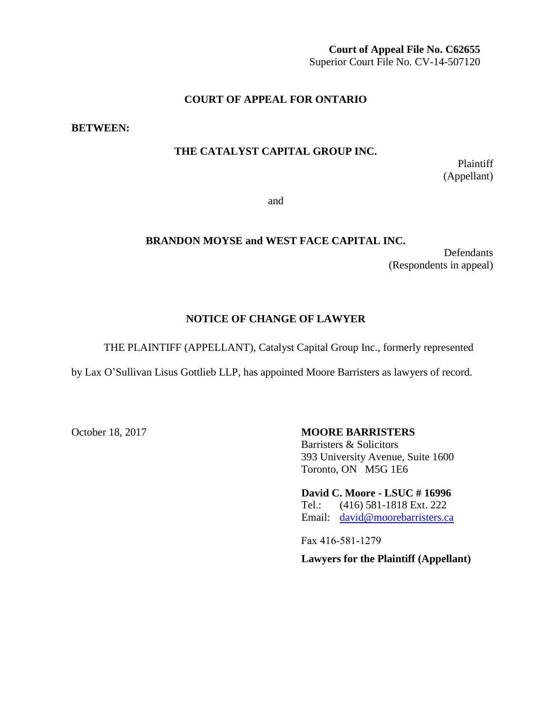**Court of Appeal File No. C62655** Superior Court File No. CV-14-507120

### **COURT OF APPEAL FOR ONTARIO**

**BETWEEN:**

### **THE CATALYST CAPITAL GROUP INC.**

Plaintiff (Appellant)

and

### **BRANDON MOYSE and WEST FACE CAPITAL INC.**

**Defendants** (Respondents in appeal)

### **NOTICE OF CHANGE OF LAWYER**

THE PLAINTIFF (APPELLANT), Catalyst Capital Group Inc., formerly represented

by Lax O'Sullivan Lisus Gottlieb LLP, has appointed Moore Barristers as lawyers of record.

### October 18, 2017 **MOORE BARRISTERS** Barristers & Solicitors 393 University Avenue, Suite 1600 Toronto, ON M5G 1E6

**David C. Moore - LSUC # 16996** Tel.: (416) 581-1818 Ext. 222 Email: [david@moorebarristers.ca](mailto:david@moorebarristers.ca)

Fax 416-581-1279

**Lawyers for the Plaintiff (Appellant)**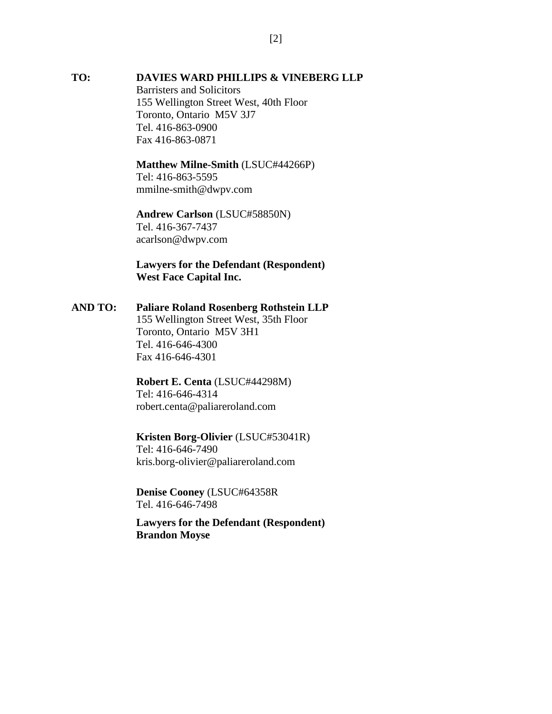#### **TO: DAVIES WARD PHILLIPS & VINEBERG LLP**

Barristers and Solicitors 155 Wellington Street West, 40th Floor Toronto, Ontario M5V 3J7 Tel. 416-863-0900 Fax 416-863-0871

# **Matthew Milne-Smith** (LSUC#44266P)

Tel: 416-863-5595 mmilne-smith@dwpv.com

## **Andrew Carlson** (LSUC#58850N) Tel. 416-367-7437

acarlson@dwpv.com

## **Lawyers for the Defendant (Respondent) West Face Capital Inc.**

### **AND TO: Paliare Roland Rosenberg Rothstein LLP**

155 Wellington Street West, 35th Floor Toronto, Ontario M5V 3H1 Tel. 416-646-4300 Fax 416-646-4301

### **Robert E. Centa** (LSUC#44298M) Tel: 416-646-4314 robert.centa@paliareroland.com

# **Kristen Borg-Olivier** (LSUC#53041R)

Tel: 416-646-7490 kris.borg-olivier@paliareroland.com

### **Denise Cooney** (LSUC#64358R Tel. 416-646-7498

**Lawyers for the Defendant (Respondent) Brandon Moyse**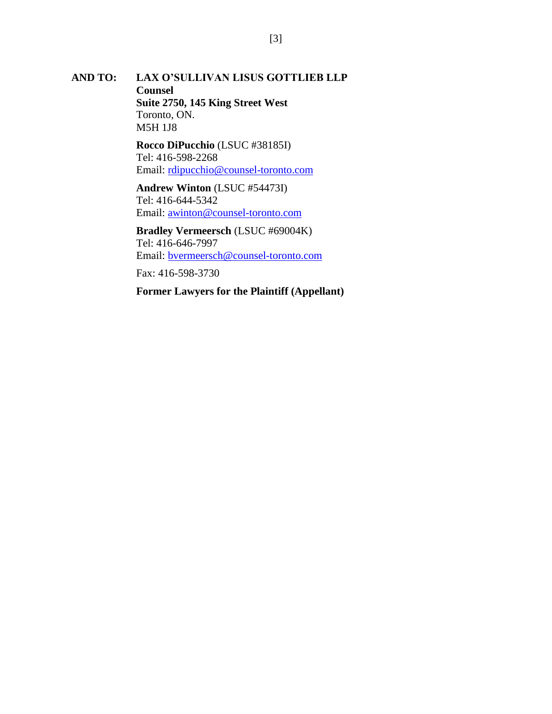#### **AND TO: LAX O'SULLIVAN LISUS GOTTLIEB LLP Counsel**

**Suite 2750, 145 King Street West** Toronto, ON. M5H 1J8

**Rocco DiPucchio** (LSUC #38185I) Tel: 416-598-2268 Email: [rdipucchio@counsel-toronto.com](mailto:mgelowitz@osler.com)

**Andrew Winton** (LSUC #54473I) Tel: 416-644-5342 Email: [awinton@counsel-toronto.com](mailto:kobrien@osler.com)

**Bradley Vermeersch** (LSUC #69004K) Tel: 416-646-7997 Email: [bvermeersch@counsel-toronto.com](mailto:lbruschetta@osler.ca)

Fax: 416-598-3730

**Former Lawyers for the Plaintiff (Appellant)**